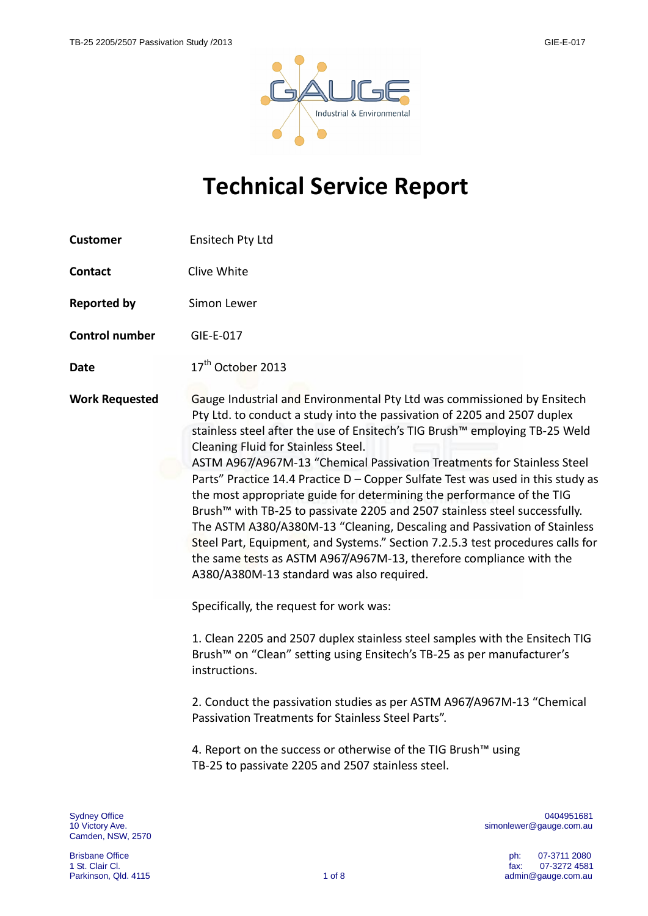

# **Technical Service Report**

| <b>Customer</b>       | Ensitech Pty Ltd                                                                                                                                                                                                                                                                                                                                                                                                                                                                                                                                                                                                                                                                                                                                                                                                                                                                                                                                                                                                                                                                                                                                                                                                                                                                                                                                                        |
|-----------------------|-------------------------------------------------------------------------------------------------------------------------------------------------------------------------------------------------------------------------------------------------------------------------------------------------------------------------------------------------------------------------------------------------------------------------------------------------------------------------------------------------------------------------------------------------------------------------------------------------------------------------------------------------------------------------------------------------------------------------------------------------------------------------------------------------------------------------------------------------------------------------------------------------------------------------------------------------------------------------------------------------------------------------------------------------------------------------------------------------------------------------------------------------------------------------------------------------------------------------------------------------------------------------------------------------------------------------------------------------------------------------|
| <b>Contact</b>        | Clive White                                                                                                                                                                                                                                                                                                                                                                                                                                                                                                                                                                                                                                                                                                                                                                                                                                                                                                                                                                                                                                                                                                                                                                                                                                                                                                                                                             |
| <b>Reported by</b>    | Simon Lewer                                                                                                                                                                                                                                                                                                                                                                                                                                                                                                                                                                                                                                                                                                                                                                                                                                                                                                                                                                                                                                                                                                                                                                                                                                                                                                                                                             |
| <b>Control number</b> | GIE-E-017                                                                                                                                                                                                                                                                                                                                                                                                                                                                                                                                                                                                                                                                                                                                                                                                                                                                                                                                                                                                                                                                                                                                                                                                                                                                                                                                                               |
| <b>Date</b>           | 17 <sup>th</sup> October 2013                                                                                                                                                                                                                                                                                                                                                                                                                                                                                                                                                                                                                                                                                                                                                                                                                                                                                                                                                                                                                                                                                                                                                                                                                                                                                                                                           |
| <b>Work Requested</b> | Gauge Industrial and Environmental Pty Ltd was commissioned by Ensitech<br>Pty Ltd. to conduct a study into the passivation of 2205 and 2507 duplex<br>stainless steel after the use of Ensitech's TIG Brush™ employing TB-25 Weld<br>Cleaning Fluid for Stainless Steel.<br>ASTM A967/A967M-13 "Chemical Passivation Treatments for Stainless Steel<br>Parts" Practice 14.4 Practice D - Copper Sulfate Test was used in this study as<br>the most appropriate guide for determining the performance of the TIG<br>Brush™ with TB-25 to passivate 2205 and 2507 stainless steel successfully.<br>The ASTM A380/A380M-13 "Cleaning, Descaling and Passivation of Stainless<br>Steel Part, Equipment, and Systems." Section 7.2.5.3 test procedures calls for<br>the same tests as ASTM A967/A967M-13, therefore compliance with the<br>A380/A380M-13 standard was also required.<br>Specifically, the request for work was:<br>1. Clean 2205 and 2507 duplex stainless steel samples with the Ensitech TIG<br>Brush <sup>™</sup> on "Clean" setting using Ensitech's TB-25 as per manufacturer's<br>instructions.<br>2. Conduct the passivation studies as per ASTM A967/A967M-13 "Chemical<br>Passivation Treatments for Stainless Steel Parts".<br>4. Report on the success or otherwise of the TIG Brush™ using<br>TB-25 to passivate 2205 and 2507 stainless steel. |
| <b>Sydney Office</b>  | 0404951681                                                                                                                                                                                                                                                                                                                                                                                                                                                                                                                                                                                                                                                                                                                                                                                                                                                                                                                                                                                                                                                                                                                                                                                                                                                                                                                                                              |

Camden, NSW, 2570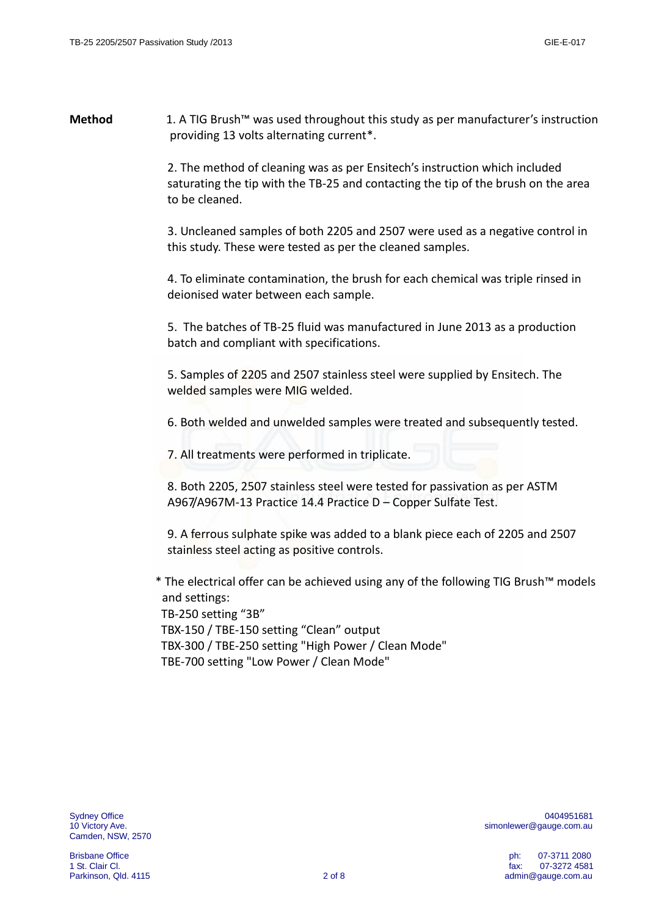### **Method** 1. A TIG Brush™ was used throughout this study as per manufacturer's instruction providing 13 volts alternating current\*.

2. The method of cleaning was as per Ensitech's instruction which included saturating the tip with the TB-25 and contacting the tip of the brush on the area to be cleaned.

3. Uncleaned samples of both 2205 and 2507 were used as a negative control in this study. These were tested as per the cleaned samples.

4. To eliminate contamination, the brush for each chemical was triple rinsed in deionised water between each sample.

5. The batches of TB-25 fluid was manufactured in June 2013 as a production batch and compliant with specifications.

5. Samples of 2205 and 2507 stainless steel were supplied by Ensitech. The welded samples were MIG welded.

6. Both welded and unwelded samples were treated and subsequently tested.

7. All treatments were performed in triplicate.

8. Both 2205, 2507 stainless steel were tested for passivation as per ASTM A967/A967M-13 Practice 14.4 Practice D – Copper Sulfate Test.

9. A ferrous sulphate spike was added to a blank piece each of 2205 and 2507 stainless steel acting as positive controls.

 \* The electrical offer can be achieved using any of the following TIG Brush™ models and settings:

 TB-250 setting "3B" TBX-150 / TBE-150 setting "Clean" output TBX-300 / TBE-250 setting "High Power / Clean Mode" TBE-700 setting "Low Power / Clean Mode"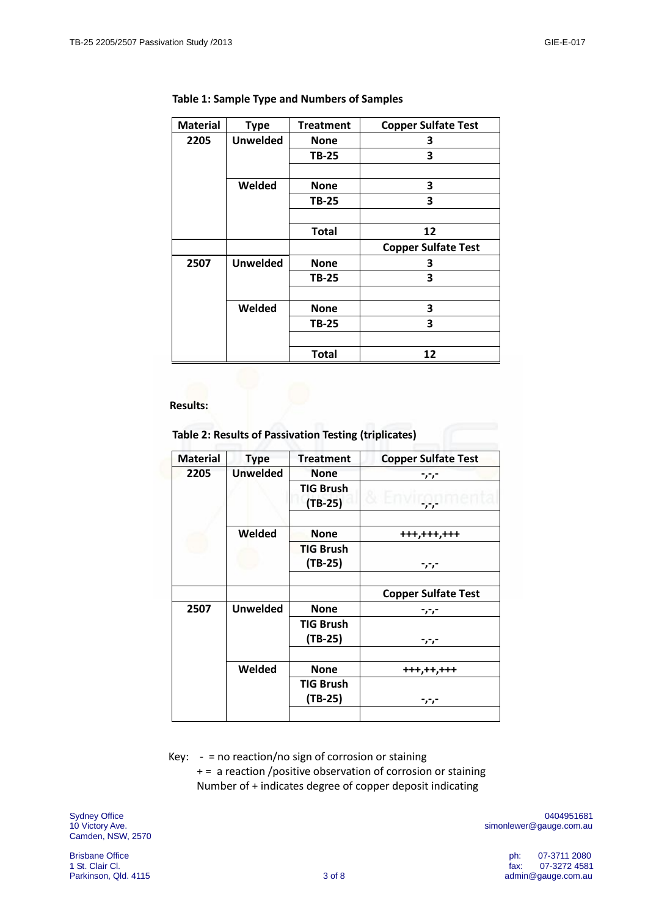| <b>Material</b> | <b>Type</b>     | <b>Treatment</b> | <b>Copper Sulfate Test</b> |
|-----------------|-----------------|------------------|----------------------------|
| 2205            | <b>Unwelded</b> | <b>None</b>      | 3                          |
|                 |                 | TB-25            | 3                          |
|                 |                 |                  |                            |
|                 | Welded          | <b>None</b>      | 3                          |
|                 |                 | TB-25            | 3                          |
|                 |                 |                  |                            |
|                 |                 | <b>Total</b>     | 12                         |
|                 |                 |                  |                            |
|                 |                 |                  | <b>Copper Sulfate Test</b> |
| 2507            | <b>Unwelded</b> | <b>None</b>      | 3                          |
|                 |                 | TB-25            | 3                          |
|                 |                 |                  |                            |
|                 | Welded          | <b>None</b>      | 3                          |
|                 |                 | <b>TB-25</b>     | 3                          |
|                 |                 |                  |                            |

#### **Table 1: Sample Type and Numbers of Samples**

 **Results:**

 **Table 2: Results of Passivation Testing (triplicates)**

| <b>Material</b> | <b>Type</b>     | <b>Treatment</b>              | <b>Copper Sulfate Test</b> |
|-----------------|-----------------|-------------------------------|----------------------------|
| 2205            | <b>Unwelded</b> | <b>None</b>                   | -יי                        |
|                 |                 | <b>TIG Brush</b><br>$(TB-25)$ | .<br>. .                   |
|                 | Welded          | <b>None</b>                   | +++,+++,+++                |
|                 |                 | <b>TIG Brush</b><br>$(TB-25)$ | -,-,-                      |
|                 |                 |                               | <b>Copper Sulfate Test</b> |
| 2507            | <b>Unwelded</b> | <b>None</b>                   | -,-,-                      |
|                 |                 | <b>TIG Brush</b><br>(TB-25)   | -,-,-                      |
|                 | Welded          | <b>None</b>                   | +++,++,+++                 |
|                 |                 | TIG Brush<br>$(TB-25)$        | -,-,-                      |
|                 |                 |                               |                            |

Key:  $-$  = no reaction/no sign of corrosion or staining

 + = a reaction /positive observation of corrosion or staining Number of + indicates degree of copper deposit indicating

Camden, NSW, 2570

Sydney Office 0404951681 10 Victory Ave. **Simonlewer@gauge.com.au**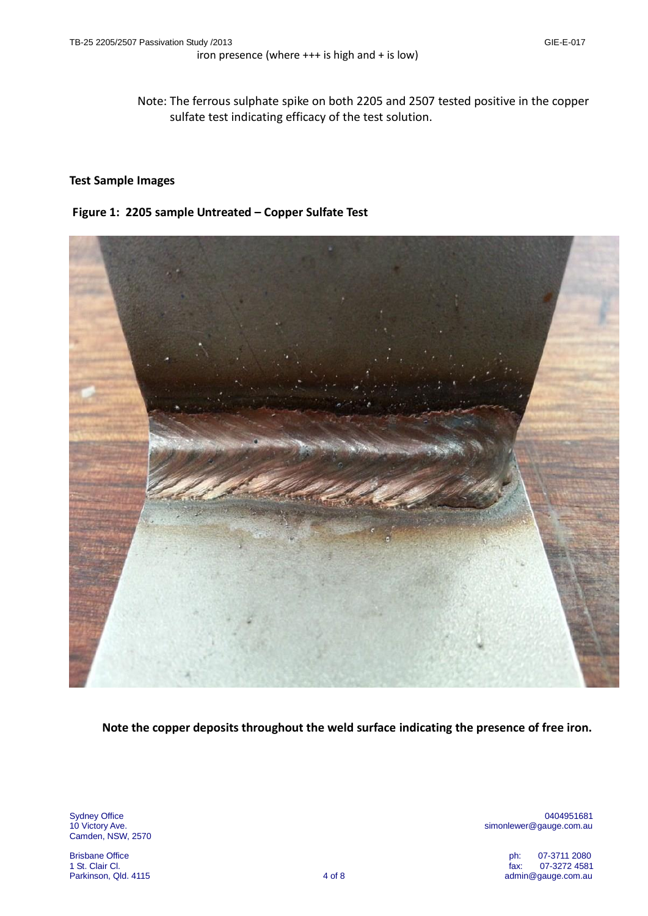Note: The ferrous sulphate spike on both 2205 and 2507 tested positive in the copper sulfate test indicating efficacy of the test solution.

#### **Test Sample Images**

#### **Figure 1: 2205 sample Untreated – Copper Sulfate Test**



**Note the copper deposits throughout the weld surface indicating the presence of free iron.**

Camden, NSW, 2570

Sydney Office 0404951681 10 Victory Ave. Simonlewer@gauge.com.au simonlewer@gauge.com.au

Brisbane Office **Philipps 2008** of the US and the US and the US and the US and the US and the US and the US and the US and the US and the US and the US and the US and the US and the US and the US and the US and the US and 1 St. Clair Cl. fax: 07-3272 4581 admin@gauge.com.au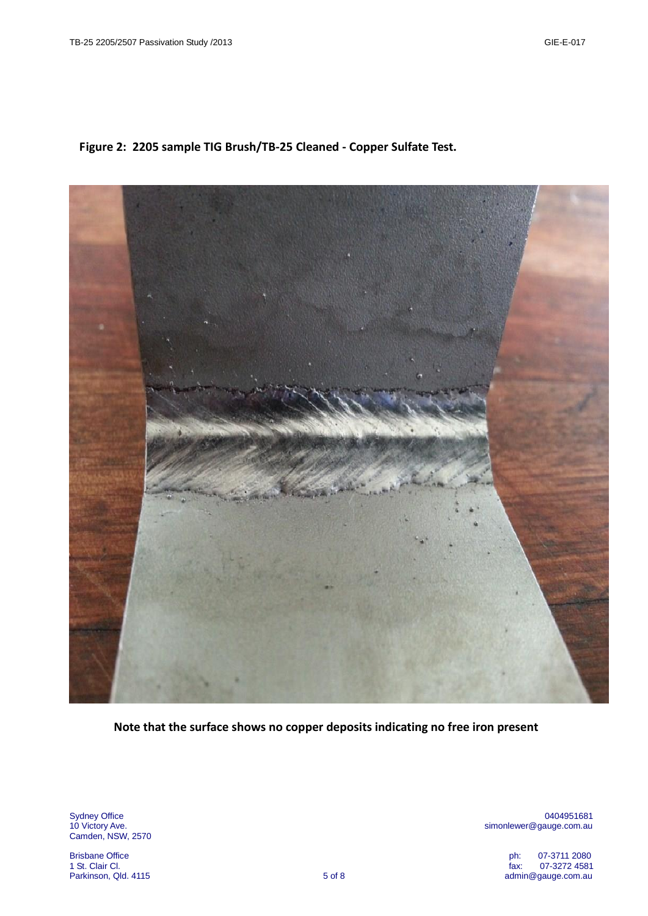

**Figure 2: 2205 sample TIG Brush/TB-25 Cleaned - Copper Sulfate Test.**

**Note that the surface shows no copper deposits indicating no free iron present**

Camden, NSW, 2570

Sydney Office 0404951681 simonlewer@gauge.com.au

Brisbane Office **Philadelphia and the USA of Contract Contract Contract Contract Contract Contract Contract Contract Contract Contract Contract Contract Contract Contract Contract Contract Contract Contract Contract Contra** 1 St. Clair Cl. fax: 07-3272 4581 admin@gauge.com.au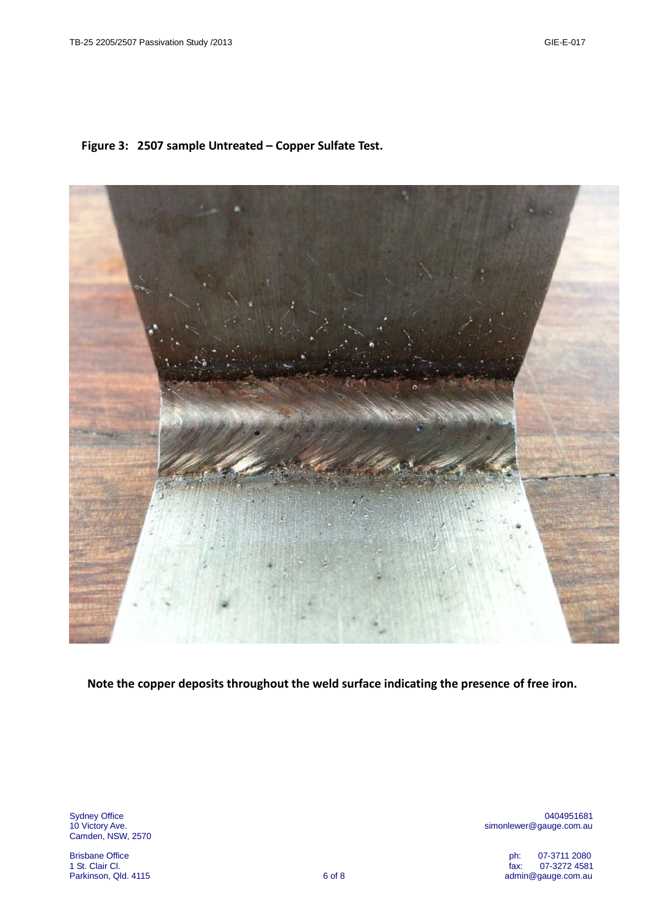## **Figure 3: 2507 sample Untreated – Copper Sulfate Test.**



 **Note the copper deposits throughout the weld surface indicating the presence of free iron.**

Camden, NSW, 2570

Sydney Office 0404951681 simonlewer@gauge.com.au

Brisbane Office **Philadelphia and the USA of Contract Contract Contract Contract Contract Contract Contract Contract Contract Contract Contract Contract Contract Contract Contract Contract Contract Contract Contract Contra** 1 St. Clair Cl. fax: 07-3272 4581 admin@gauge.com.au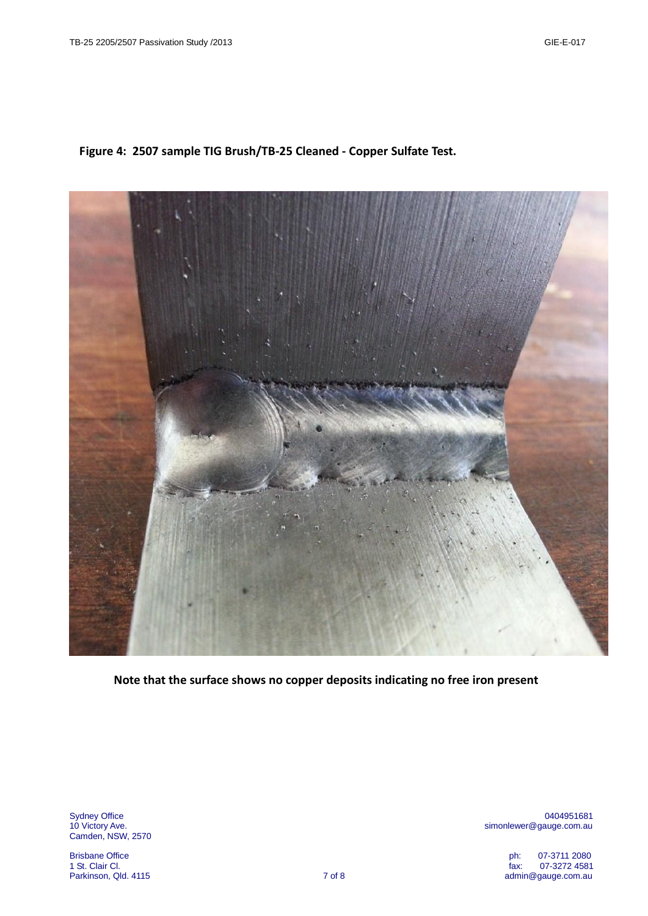## **Figure 4: 2507 sample TIG Brush/TB-25 Cleaned - Copper Sulfate Test.**



**Note that the surface shows no copper deposits indicating no free iron present**

Camden, NSW, 2570

Brisbane Office **Philadelphia and the USA of Contract Contract Contract Contract Contract Contract Contract Contract Contract Contract Contract Contract Contract Contract Contract Contract Contract Contract Contract Contra** 

Sydney Office 0404951681 simonlewer@gauge.com.au

1 St. Clair Cl. fax: 07-3272 4581 admin@gauge.com.au